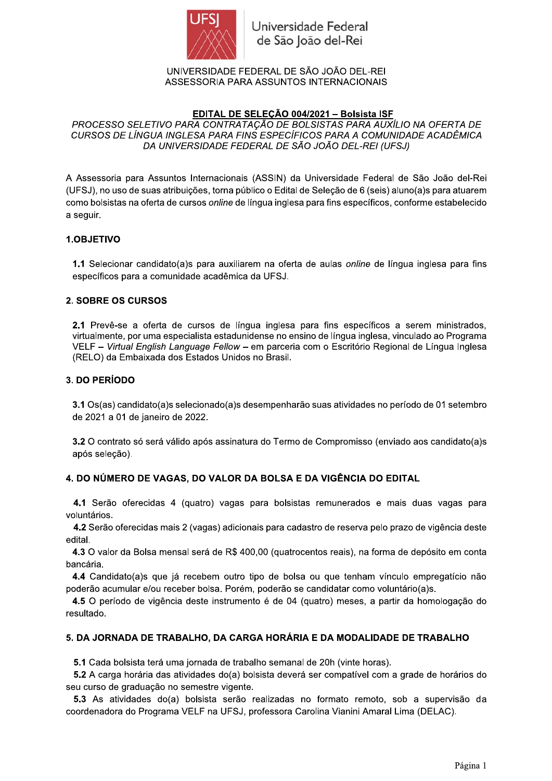

Universidade Federal de São João del-Rei

UNIVERSIDADE FEDERAL DE SÃO JOÃO DEL-REI ASSESSORIA PARA ASSUNTOS INTERNACIONAIS

# EDITAL DE SELEÇÃO 004/2021 - Bolsista ISF

PROCESSO SELETIVO PARA CONTRATAÇÃO DE BOLSISTAS PARA AUXÍLIO NA OFERTA DE CURSOS DE LÍNGUA INGLESA PARA FINS ESPECÍFICOS PARA A COMUNIDADE ACADÊMICA DA UNIVERSIDADE FEDERAL DE SÃO JOÃO DEL-REI (UFSJ)

A Assessoria para Assuntos Internacionais (ASSIN) da Universidade Federal de São João del-Rei (UFSJ), no uso de suas atribuições, torna público o Edital de Seleção de 6 (seis) aluno(a)s para atuarem como bolsistas na oferta de cursos *online* de língua inglesa para fins específicos, conforme estabelecido a seguir.

#### 1.OBJETIVO

1.1 Selecionar candidato(a)s para auxiliarem na oferta de aulas online de língua inglesa para fins específicos para a comunidade acadêmica da UFSJ.

#### **2. SOBRE OS CURSOS**

2.1 Prevê-se a oferta de cursos de língua inglesa para fins específicos a serem ministrados. virtualmente, por uma especialista estadunidense no ensino de língua inglesa, vinculado ao Programa VELF - Virtual English Language Fellow - em parceria com o Escritório Regional de Língua Inglesa (RELO) da Embaixada dos Estados Unidos no Brasil.

#### 3. DO PERÍODO

3.1 Os(as) candidato(a)s selecionado(a)s desempenharão suas atividades no período de 01 setembro de 2021 a 01 de janeiro de 2022.

3.2 O contrato só será válido após assinatura do Termo de Compromisso (enviado aos candidato(a)s após seleção).

#### 4. DO NÚMERO DE VAGAS, DO VALOR DA BOLSA E DA VIGÊNCIA DO EDITAL

4.1 Serão oferecidas 4 (quatro) vagas para bolsistas remunerados e mais duas vagas para voluntários.

4.2 Serão oferecidas mais 2 (vagas) adicionais para cadastro de reserva pelo prazo de vigência deste edital.

4.3 O valor da Bolsa mensal será de R\$ 400,00 (quatrocentos reais), na forma de depósito em conta bancária.

4.4 Candidato(a)s que já recebem outro tipo de bolsa ou que tenham vínculo empregatício não poderão acumular e/ou receber bolsa. Porém, poderão se candidatar como voluntário(a)s.

4.5 O período de vigência deste instrumento é de 04 (quatro) meses, a partir da homologação do resultado.

#### 5. DA JORNADA DE TRABALHO, DA CARGA HORÁRIA E DA MODALIDADE DE TRABALHO

5.1 Cada bolsista terá uma jornada de trabalho semanal de 20h (vinte horas).

5.2 A carga horária das atividades do(a) bolsista deverá ser compatível com a grade de horários do seu curso de graduação no semestre vigente.

5.3 As atividades do(a) bolsista serão realizadas no formato remoto, sob a supervisão da coordenadora do Programa VELF na UFSJ, professora Carolina Vianini Amaral Lima (DELAC).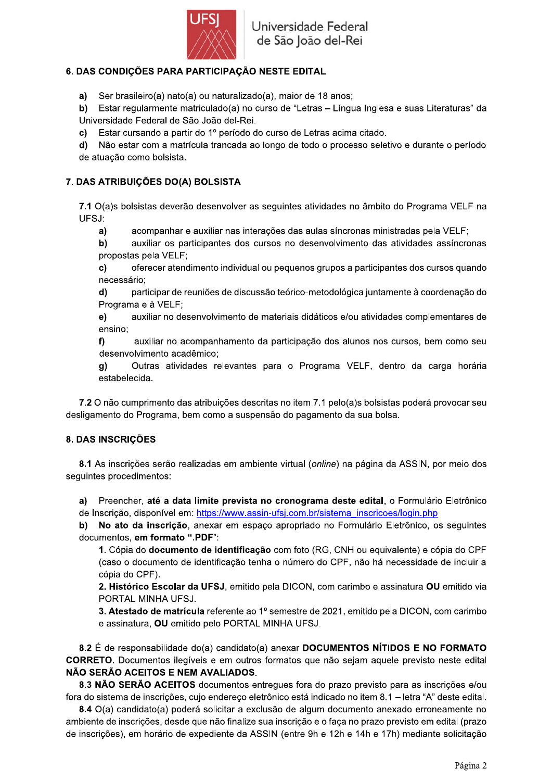

# 6. DAS CONDIÇÕES PARA PARTICIPAÇÃO NESTE EDITAL

a) Ser brasileiro(a) nato(a) ou naturalizado(a), maior de 18 anos;

b) Estar regularmente matriculado(a) no curso de "Letras - Língua Inglesa e suas Literaturas" da Universidade Federal de São João del-Rei.

c) Estar cursando a partir do 1º período do curso de Letras acima citado.

d) Não estar com a matrícula trancada ao longo de todo o processo seletivo e durante o período de atuação como bolsista.

### 7. DAS ATRIBUIÇÕES DO(A) BOLSISTA

7.1 O(a)s bolsistas deverão desenvolver as seguintes atividades no âmbito do Programa VELF na UFSJ:

acompanhar e auxiliar nas interações das aulas síncronas ministradas pela VELF;  $a)$ 

 $b)$ auxiliar os participantes dos cursos no desenvolvimento das atividades assíncronas propostas pela VELF;

 $\mathbf{c}$ oferecer atendimento individual ou pequenos grupos a participantes dos cursos quando necessário;

participar de reuniões de discussão teórico-metodológica juntamente à coordenação do  $\mathbf{d}$ Programa e à VELF:

auxiliar no desenvolvimento de materiais didáticos e/ou atividades complementares de  $e)$ ensino;

auxiliar no acompanhamento da participação dos alunos nos cursos, bem como seu  $f$ desenvolvimento acadêmico:

Outras atividades relevantes para o Programa VELF, dentro da carga horária g) estabelecida.

7.2 O não cumprimento das atribuições descritas no item 7.1 pelo(a)s bolsistas poderá provocar seu desligamento do Programa, bem como a suspensão do pagamento da sua bolsa.

#### 8. DAS INSCRIÇÕES

8.1 As inscrições serão realizadas em ambiente virtual (online) na página da ASSIN, por meio dos seguintes procedimentos:

Preencher, até a data limite prevista no cronograma deste edital, o Formulário Eletrônico a) de Inscrição, disponível em: https://www.assin-ufsj.com.br/sistema inscricoes/login.php

No ato da inscrição, anexar em espaço apropriado no Formulário Eletrônico, os sequintes b) documentos, em formato ".PDF":

1. Cópia do documento de identificação com foto (RG, CNH ou equivalente) e cópia do CPF (caso o documento de identificação tenha o número do CPF, não há necessidade de incluir a cópia do CPF).

2. Histórico Escolar da UFSJ, emitido pela DICON, com carimbo e assinatura OU emitido via PORTAL MINHA UFSJ.

3. Atestado de matrícula referente ao 1º semestre de 2021, emitido pela DICON, com carimbo e assinatura, OU emitido pelo PORTAL MINHA UFSJ.

8.2 É de responsabilidade do(a) candidato(a) anexar DOCUMENTOS NÍTIDOS E NO FORMATO CORRETO. Documentos ilegíveis e em outros formatos que não sejam aquele previsto neste edital NÃO SERÃO ACEITOS E NEM AVALIADOS.

8.3 NÃO SERÃO ACEITOS documentos entregues fora do prazo previsto para as inscrições e/ou fora do sistema de inscrições, cujo endereço eletrônico está indicado no item 8.1 – letra "A" deste edital.

8.4 O(a) candidato(a) poderá solicitar a exclusão de algum documento anexado erroneamente no ambiente de inscrições, desde que não finalize sua inscrição e o faça no prazo previsto em edital (prazo de inscrições), em horário de expediente da ASSIN (entre 9h e 12h e 14h e 17h) mediante solicitação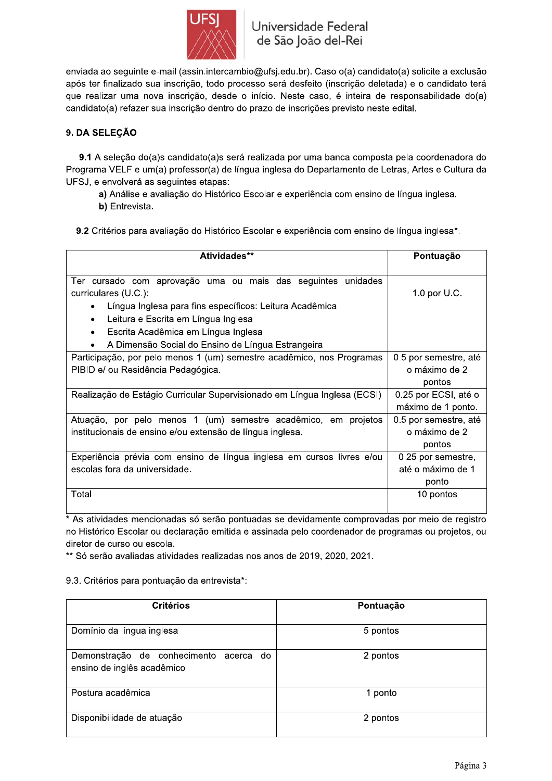

enviada ao seguinte e-mail (assin.intercambio@ufsj.edu.br). Caso o(a) candidato(a) solicite a exclusão após ter finalizado sua inscrição, todo processo será desfeito (inscrição deletada) e o candidato terá que realizar uma nova inscrição, desde o início. Neste caso, é inteira de responsabilidade do(a) candidato(a) refazer sua inscrição dentro do prazo de inscrições previsto neste edital.

# 9. DA SELEÇÃO

9.1 A seleção do(a)s candidato(a)s será realizada por uma banca composta pela coordenadora do Programa VELF e um(a) professor(a) de língua inglesa do Departamento de Letras, Artes e Cultura da UFSJ, e envolverá as seguintes etapas:

a) Análise e avaliação do Histórico Escolar e experiência com ensino de língua inglesa.

b) Entrevista.

9.2 Critérios para avaliação do Histórico Escolar e experiência com ensino de língua inglesa\*.

| Atividades**                                                             | Pontuação             |
|--------------------------------------------------------------------------|-----------------------|
| Ter cursado com aprovação uma ou mais das seguintes unidades             |                       |
| curriculares (U.C.):                                                     | 1.0 por U.C.          |
| Língua Inglesa para fins específicos: Leitura Acadêmica                  |                       |
| Leitura e Escrita em Língua Inglesa<br>$\bullet$                         |                       |
| Escrita Acadêmica em Língua Inglesa<br>$\bullet$                         |                       |
| A Dimensão Social do Ensino de Língua Estrangeira                        |                       |
| Participação, por pelo menos 1 (um) semestre acadêmico, nos Programas    | 0.5 por semestre, até |
| PIBID e/ ou Residência Pedagógica.                                       | o máximo de 2         |
|                                                                          | pontos                |
| Realização de Estágio Curricular Supervisionado em Língua Inglesa (ECSI) | 0.25 por ECSI, até o  |
|                                                                          | máximo de 1 ponto.    |
| Atuação, por pelo menos 1 (um) semestre acadêmico, em projetos           | 0.5 por semestre, até |
| institucionais de ensino e/ou extensão de língua inglesa.                | o máximo de 2         |
|                                                                          | pontos                |
| Experiência prévia com ensino de língua inglesa em cursos livres e/ou    | 0.25 por semestre,    |
| escolas fora da universidade.                                            | até o máximo de 1     |
|                                                                          | ponto                 |
| Total                                                                    | 10 pontos             |
|                                                                          |                       |

\* As atividades mencionadas só serão pontuadas se devidamente comprovadas por meio de registro no Histórico Escolar ou declaração emitida e assinada pelo coordenador de programas ou projetos, ou diretor de curso ou escola.

\*\* Só serão avaliadas atividades realizadas nos anos de 2019, 2020, 2021.

# 9.3. Critérios para pontuação da entrevista\*:

| <b>Critérios</b>                                                     | Pontuação |
|----------------------------------------------------------------------|-----------|
| Domínio da língua inglesa                                            | 5 pontos  |
| Demonstração de conhecimento acerca do<br>ensino de inglês acadêmico | 2 pontos  |
| Postura acadêmica                                                    | 1 ponto   |
| Disponibilidade de atuação                                           | 2 pontos  |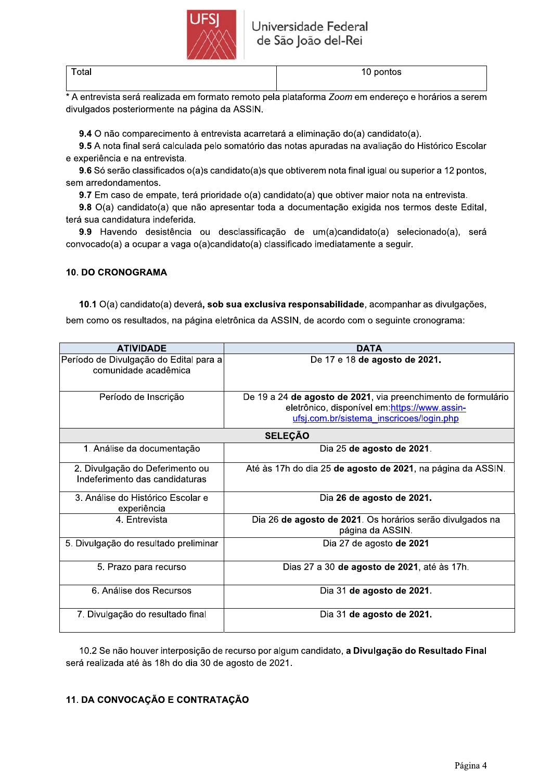

| ۰. |  |
|----|--|
|----|--|

10 pontos

\* A entrevista será realizada em formato remoto pela plataforma Zoom em endereço e horários a serem divulgados posteriormente na página da ASSIN.

9.4 O não comparecimento à entrevista acarretará a eliminação do(a) candidato(a).

9.5 A nota final será calculada pelo somatório das notas apuradas na avaliação do Histórico Escolar e experiência e na entrevista.

9.6 Só serão classificados o(a)s candidato(a)s que obtiverem nota final igual ou superior a 12 pontos, sem arredondamentos.

9.7 Em caso de empate, terá prioridade o(a) candidato(a) que obtiver maior nota na entrevista.

9.8 O(a) candidato(a) que não apresentar toda a documentação exigida nos termos deste Edital, terá sua candidatura indeferida.

9.9 Havendo desistência ou desclassificação de um(a)candidato(a) selecionado(a), será convocado(a) a ocupar a vaga o(a)candidato(a) classificado imediatamente a seguir.

### **10. DO CRONOGRAMA**

10.1 O(a) candidato(a) deverá, sob sua exclusiva responsabilidade, acompanhar as divulgações,

bem como os resultados, na página eletrônica da ASSIN, de acordo com o seguinte cronograma:

| <b>ATIVIDADE</b>                                                  | <b>DATA</b>                                                                                                                                                |  |
|-------------------------------------------------------------------|------------------------------------------------------------------------------------------------------------------------------------------------------------|--|
| Período de Divulgação do Edital para a<br>comunidade acadêmica    | De 17 e 18 de agosto de 2021.                                                                                                                              |  |
| Período de Inscrição                                              | De 19 a 24 de agosto de 2021, via preenchimento de formulário<br>eletrônico, disponível em: https://www.assin-<br>ufsj.com.br/sistema inscricoes/login.php |  |
| <b>SELEÇÃO</b>                                                    |                                                                                                                                                            |  |
| 1. Análise da documentação                                        | Dia 25 de agosto de 2021.                                                                                                                                  |  |
| 2. Divulgação do Deferimento ou<br>Indeferimento das candidaturas | Até às 17h do dia 25 de agosto de 2021, na página da ASSIN.                                                                                                |  |
| 3. Análise do Histórico Escolar e<br>experiência                  | Dia 26 de agosto de 2021.                                                                                                                                  |  |
| 4. Entrevista                                                     | Dia 26 de agosto de 2021. Os horários serão divulgados na<br>página da ASSIN.                                                                              |  |
| 5. Divulgação do resultado preliminar                             | Dia 27 de agosto de 2021                                                                                                                                   |  |
| 5. Prazo para recurso                                             | Dias 27 a 30 de agosto de 2021, até às 17h.                                                                                                                |  |
| 6. Análise dos Recursos                                           | Dia 31 de agosto de 2021.                                                                                                                                  |  |
| 7. Divulgação do resultado final                                  | Dia 31 de agosto de 2021.                                                                                                                                  |  |

10.2 Se não houver interposição de recurso por algum candidato, a Divulgação do Resultado Final será realizada até às 18h do dia 30 de agosto de 2021.

# 11. DA CONVOCAÇÃO E CONTRATAÇÃO